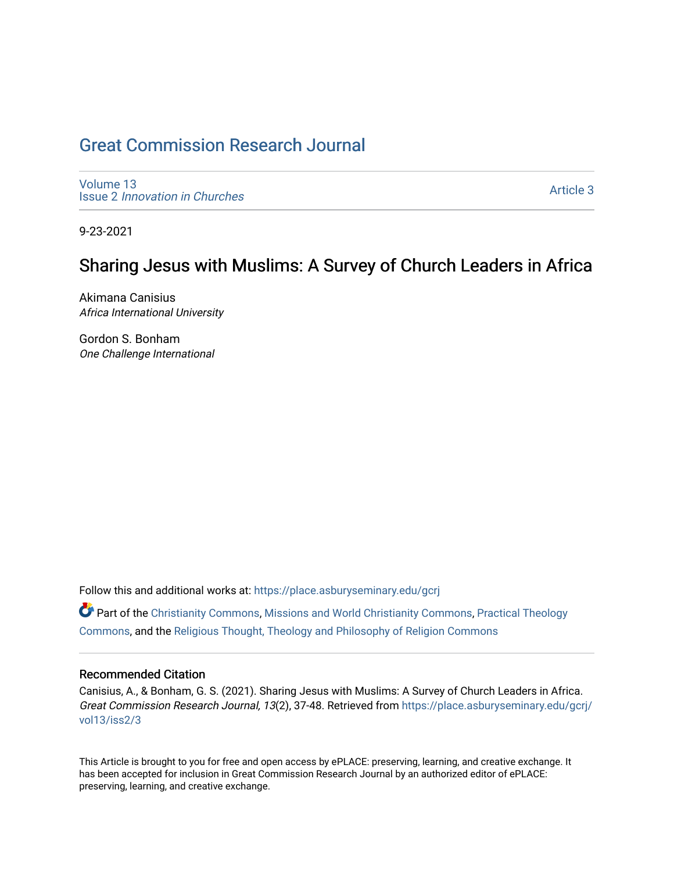# [Great Commission Research Journal](https://place.asburyseminary.edu/gcrj)

[Volume 13](https://place.asburyseminary.edu/gcrj/vol13) Issue 2 [Innovation in Churches](https://place.asburyseminary.edu/gcrj/vol13/iss2)

[Article 3](https://place.asburyseminary.edu/gcrj/vol13/iss2/3) 

9-23-2021

# Sharing Jesus with Muslims: A Survey of Church Leaders in Africa

Akimana Canisius Africa International University

Gordon S. Bonham One Challenge International

Follow this and additional works at: [https://place.asburyseminary.edu/gcrj](https://place.asburyseminary.edu/gcrj?utm_source=place.asburyseminary.edu%2Fgcrj%2Fvol13%2Fiss2%2F3&utm_medium=PDF&utm_campaign=PDFCoverPages) 

 $\bullet$  Part of the [Christianity Commons,](http://network.bepress.com/hgg/discipline/1181?utm_source=place.asburyseminary.edu%2Fgcrj%2Fvol13%2Fiss2%2F3&utm_medium=PDF&utm_campaign=PDFCoverPages) [Missions and World Christianity Commons](http://network.bepress.com/hgg/discipline/1187?utm_source=place.asburyseminary.edu%2Fgcrj%2Fvol13%2Fiss2%2F3&utm_medium=PDF&utm_campaign=PDFCoverPages), Practical Theology [Commons](http://network.bepress.com/hgg/discipline/1186?utm_source=place.asburyseminary.edu%2Fgcrj%2Fvol13%2Fiss2%2F3&utm_medium=PDF&utm_campaign=PDFCoverPages), and the [Religious Thought, Theology and Philosophy of Religion Commons](http://network.bepress.com/hgg/discipline/544?utm_source=place.asburyseminary.edu%2Fgcrj%2Fvol13%2Fiss2%2F3&utm_medium=PDF&utm_campaign=PDFCoverPages) 

#### Recommended Citation

Canisius, A., & Bonham, G. S. (2021). Sharing Jesus with Muslims: A Survey of Church Leaders in Africa. Great Commission Research Journal, 13(2), 37-48. Retrieved from [https://place.asburyseminary.edu/gcrj/](https://place.asburyseminary.edu/gcrj/vol13/iss2/3?utm_source=place.asburyseminary.edu%2Fgcrj%2Fvol13%2Fiss2%2F3&utm_medium=PDF&utm_campaign=PDFCoverPages) [vol13/iss2/3](https://place.asburyseminary.edu/gcrj/vol13/iss2/3?utm_source=place.asburyseminary.edu%2Fgcrj%2Fvol13%2Fiss2%2F3&utm_medium=PDF&utm_campaign=PDFCoverPages)

This Article is brought to you for free and open access by ePLACE: preserving, learning, and creative exchange. It has been accepted for inclusion in Great Commission Research Journal by an authorized editor of ePLACE: preserving, learning, and creative exchange.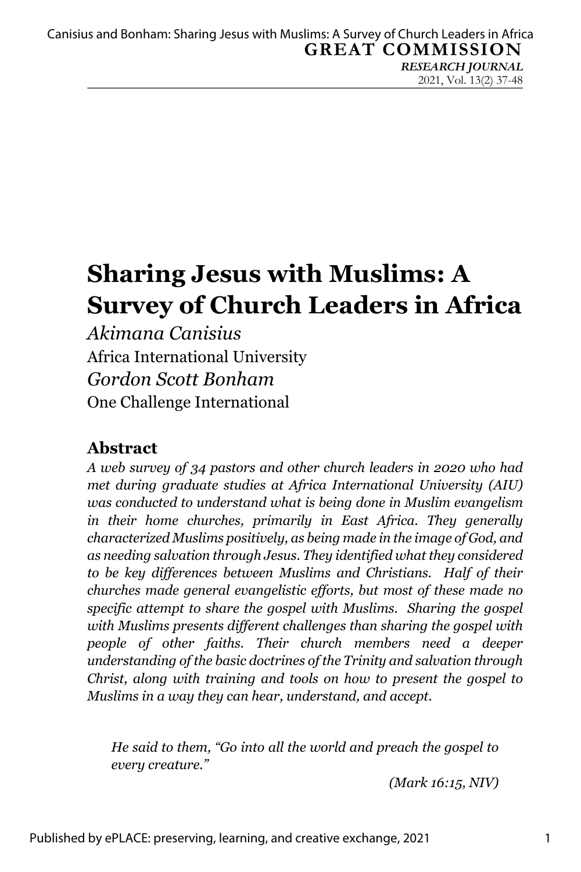*RESEARCH JOURNAL* 2021, Vol. 13(2) 37-48

# **Sharing Jesus with Muslims: A Survey of Church Leaders in Africa**

*Akimana Canisius* Africa International University *Gordon Scott Bonham* One Challenge International

## **Abstract**

*A web survey of 34 pastors and other church leaders in 2020 who had met during graduate studies at Africa International University (AIU) was conducted to understand what is being done in Muslim evangelism in their home churches, primarily in East Africa. They generally characterized Muslims positively, as being made in the image of God, and as needing salvation through Jesus. They identified what they considered to be key differences between Muslims and Christians. Half of their churches made general evangelistic efforts, but most of these made no specific attempt to share the gospel with Muslims. Sharing the gospel with Muslims presents different challenges than sharing the gospel with people of other faiths. Their church members need a deeper understanding of the basic doctrines of the Trinity and salvation through Christ, along with training and tools on how to present the gospel to Muslims in a way they can hear, understand, and accept.*

*He said to them, "Go into all the world and preach the gospel to every creature."*

*(Mark 16:15, NIV)*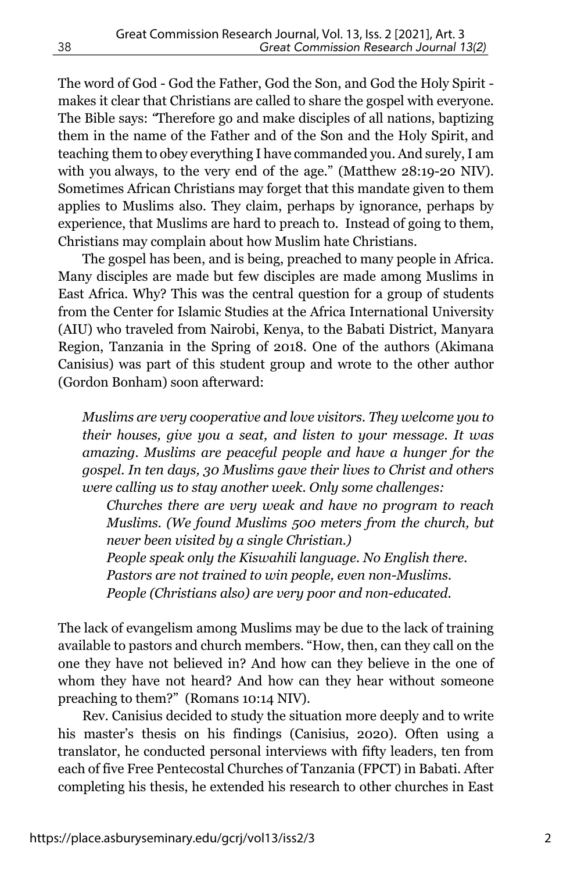The word of God - God the Father, God the Son, and God the Holy Spirit makes it clear that Christians are called to share the gospel with everyone. The Bible says: *"*Therefore go and make disciples of all nations, baptizing them in the name of the Father and of the Son and the Holy Spirit, and teaching them to obey everything I have commanded you. And surely, I am with you always, to the very end of the age." (Matthew 28:19-20 NIV). Sometimes African Christians may forget that this mandate given to them applies to Muslims also. They claim, perhaps by ignorance, perhaps by experience, that Muslims are hard to preach to. Instead of going to them, Christians may complain about how Muslim hate Christians.

The gospel has been, and is being, preached to many people in Africa. Many disciples are made but few disciples are made among Muslims in East Africa. Why? This was the central question for a group of students from the Center for Islamic Studies at the Africa International University (AIU) who traveled from Nairobi, Kenya, to the Babati District, Manyara Region, Tanzania in the Spring of 2018. One of the authors (Akimana Canisius) was part of this student group and wrote to the other author (Gordon Bonham) soon afterward:

*Muslims are very cooperative and love visitors. They welcome you to their houses, give you a seat, and listen to your message. It was amazing. Muslims are peaceful people and have a hunger for the gospel. In ten days, 30 Muslims gave their lives to Christ and others were calling us to stay another week. Only some challenges:*

*Churches there are very weak and have no program to reach Muslims. (We found Muslims 500 meters from the church, but never been visited by a single Christian.) People speak only the Kiswahili language. No English there. Pastors are not trained to win people, even non-Muslims. People (Christians also) are very poor and non-educated*.

The lack of evangelism among Muslims may be due to the lack of training available to pastors and church members. "How, then, can they call on the one they have not believed in? And how can they believe in the one of whom they have not heard? And how can they hear without someone preaching to them?" (Romans 10:14 NIV).

Rev. Canisius decided to study the situation more deeply and to write his master's thesis on his findings (Canisius, 2020). Often using a translator, he conducted personal interviews with fifty leaders, ten from each of five Free Pentecostal Churches of Tanzania (FPCT) in Babati. After completing his thesis, he extended his research to other churches in East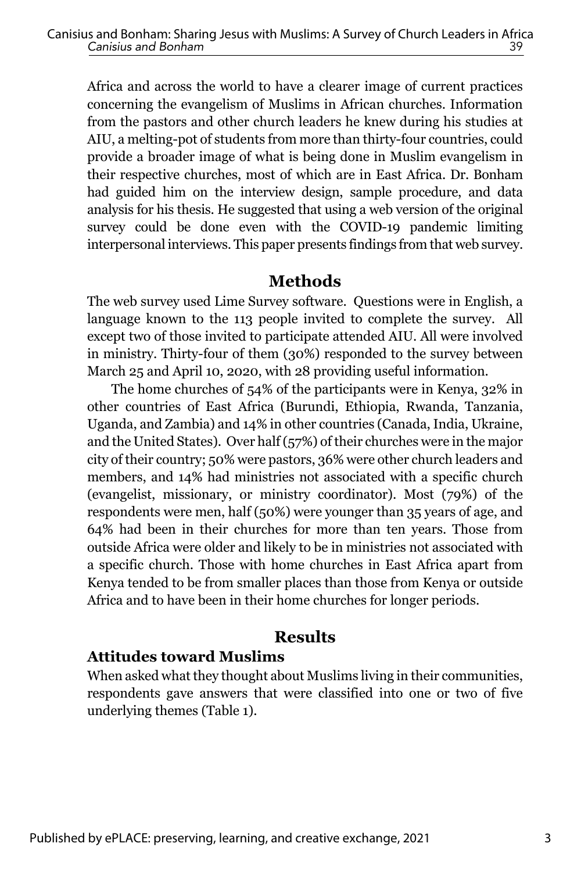Africa and across the world to have a clearer image of current practices concerning the evangelism of Muslims in African churches. Information from the pastors and other church leaders he knew during his studies at AIU, a melting-pot of students from more than thirty-four countries, could provide a broader image of what is being done in Muslim evangelism in their respective churches, most of which are in East Africa. Dr. Bonham had guided him on the interview design, sample procedure, and data analysis for his thesis. He suggested that using a web version of the original survey could be done even with the COVID-19 pandemic limiting interpersonal interviews. This paper presents findings from that web survey.

#### **Methods**

The web survey used Lime Survey software. Questions were in English, a language known to the 113 people invited to complete the survey. All except two of those invited to participate attended AIU. All were involved in ministry. Thirty-four of them (30%) responded to the survey between March 25 and April 10, 2020, with 28 providing useful information.

The home churches of 54% of the participants were in Kenya, 32% in other countries of East Africa (Burundi, Ethiopia, Rwanda, Tanzania, Uganda, and Zambia) and 14% in other countries (Canada, India, Ukraine, and the United States). Over half (57%) of their churches were in the major city of their country; 50% were pastors, 36% were other church leaders and members, and 14% had ministries not associated with a specific church (evangelist, missionary, or ministry coordinator). Most (79%) of the respondents were men, half (50%) were younger than 35 years of age, and 64% had been in their churches for more than ten years. Those from outside Africa were older and likely to be in ministries not associated with a specific church. Those with home churches in East Africa apart from Kenya tended to be from smaller places than those from Kenya or outside Africa and to have been in their home churches for longer periods.

#### **Results**

#### **Attitudes toward Muslims**

When asked what they thought about Muslims living in their communities, respondents gave answers that were classified into one or two of five underlying themes (Table 1).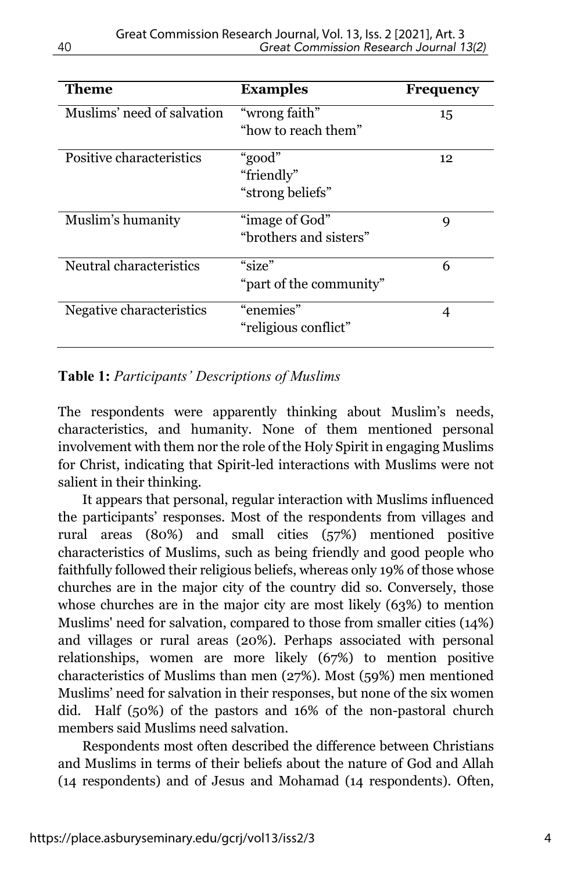| Theme                      | <b>Examples</b>                          | <b>Frequency</b> |
|----------------------------|------------------------------------------|------------------|
| Muslims' need of salvation | "wrong faith"<br>"how to reach them"     | 15               |
| Positive characteristics   | "good"<br>"friendly"<br>"strong beliefs" | 12               |
| Muslim's humanity          | "image of God"<br>"brothers and sisters" | 9                |
| Neutral characteristics    | "size"<br>"part of the community"        | 6                |
| Negative characteristics   | "enemies"<br>"religious conflict"        | 4                |

#### **Table 1:** *Participants' Descriptions of Muslims*

The respondents were apparently thinking about Muslim's needs, characteristics, and humanity. None of them mentioned personal involvement with them nor the role of the Holy Spirit in engaging Muslims for Christ, indicating that Spirit-led interactions with Muslims were not salient in their thinking.

It appears that personal, regular interaction with Muslims influenced the participants' responses. Most of the respondents from villages and rural areas (80%) and small cities (57%) mentioned positive characteristics of Muslims, such as being friendly and good people who faithfully followed their religious beliefs, whereas only 19% of those whose churches are in the major city of the country did so. Conversely, those whose churches are in the major city are most likely (63%) to mention Muslims' need for salvation, compared to those from smaller cities (14%) and villages or rural areas (20%). Perhaps associated with personal relationships, women are more likely (67%) to mention positive characteristics of Muslims than men (27%). Most (59%) men mentioned Muslims' need for salvation in their responses, but none of the six women did. Half (50%) of the pastors and 16% of the non-pastoral church members said Muslims need salvation.

Respondents most often described the difference between Christians and Muslims in terms of their beliefs about the nature of God and Allah (14 respondents) and of Jesus and Mohamad (14 respondents). Often,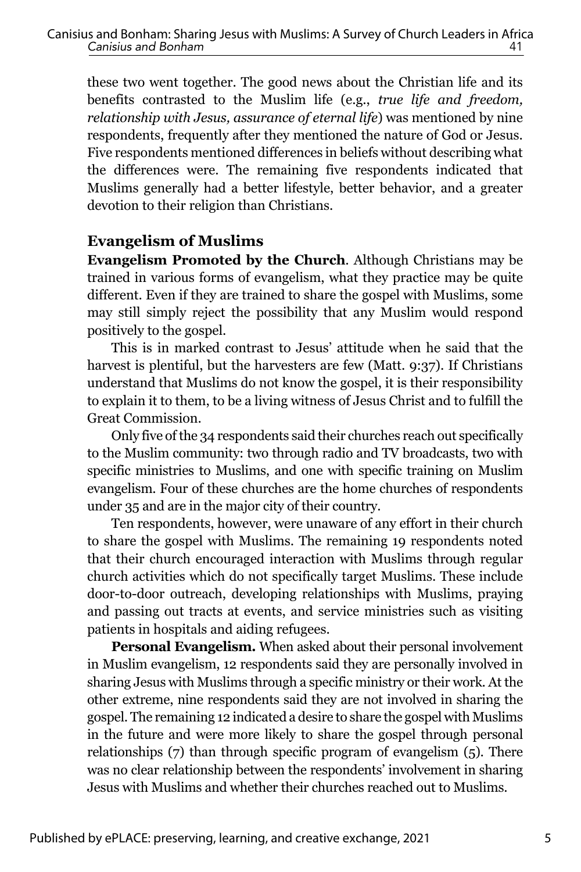these two went together. The good news about the Christian life and its benefits contrasted to the Muslim life (e.g., *true life and freedom, relationship with Jesus, assurance of eternal life*) was mentioned by nine respondents, frequently after they mentioned the nature of God or Jesus. Five respondents mentioned differences in beliefs without describing what the differences were. The remaining five respondents indicated that Muslims generally had a better lifestyle, better behavior, and a greater devotion to their religion than Christians.

#### **Evangelism of Muslims**

**Evangelism Promoted by the Church***.* Although Christians may be trained in various forms of evangelism, what they practice may be quite different. Even if they are trained to share the gospel with Muslims, some may still simply reject the possibility that any Muslim would respond positively to the gospel.

This is in marked contrast to Jesus' attitude when he said that the harvest is plentiful, but the harvesters are few (Matt. 9:37). If Christians understand that Muslims do not know the gospel, it is their responsibility to explain it to them, to be a living witness of Jesus Christ and to fulfill the Great Commission.

Only five of the 34 respondents said their churches reach out specifically to the Muslim community: two through radio and TV broadcasts, two with specific ministries to Muslims, and one with specific training on Muslim evangelism. Four of these churches are the home churches of respondents under 35 and are in the major city of their country.

Ten respondents, however, were unaware of any effort in their church to share the gospel with Muslims. The remaining 19 respondents noted that their church encouraged interaction with Muslims through regular church activities which do not specifically target Muslims. These include door-to-door outreach, developing relationships with Muslims, praying and passing out tracts at events, and service ministries such as visiting patients in hospitals and aiding refugees.

**Personal Evangelism.** When asked about their personal involvement in Muslim evangelism, 12 respondents said they are personally involved in sharing Jesus with Muslims through a specific ministry or their work. At the other extreme, nine respondents said they are not involved in sharing the gospel. The remaining 12 indicated a desire to share the gospel with Muslims in the future and were more likely to share the gospel through personal relationships (7) than through specific program of evangelism (5). There was no clear relationship between the respondents' involvement in sharing Jesus with Muslims and whether their churches reached out to Muslims.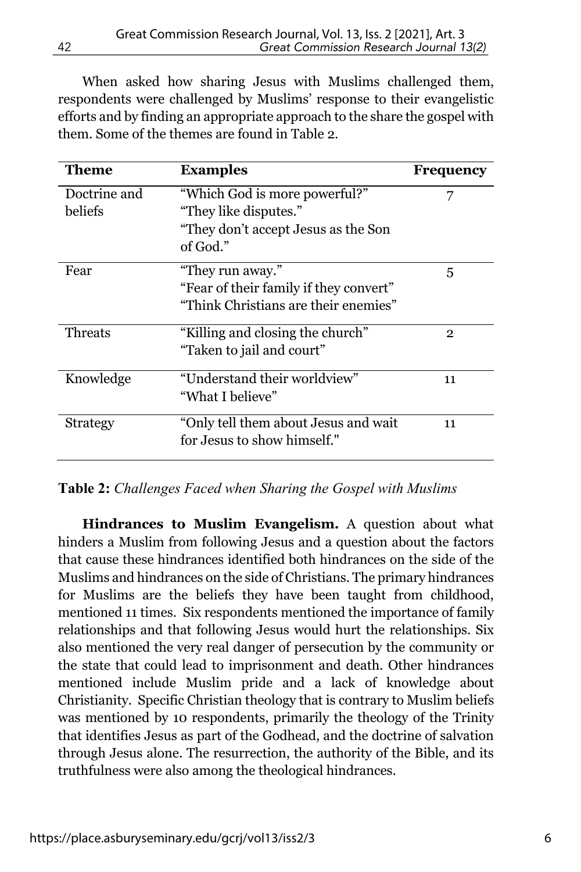When asked how sharing Jesus with Muslims challenged them, respondents were challenged by Muslims' response to their evangelistic efforts and by finding an appropriate approach to the share the gospel with them. Some of the themes are found in Table 2.

| Theme           | <b>Examples</b>                        | <b>Frequency</b> |
|-----------------|----------------------------------------|------------------|
| Doctrine and    | "Which God is more powerful?"          | 7                |
| beliefs         | "They like disputes."                  |                  |
|                 | "They don't accept Jesus as the Son    |                  |
|                 | of God."                               |                  |
| Fear            | "They run away."                       | 5                |
|                 | "Fear of their family if they convert" |                  |
|                 | "Think Christians are their enemies"   |                  |
| Threats         | "Killing and closing the church"       | $\overline{2}$   |
|                 | "Taken to jail and court"              |                  |
| Knowledge       | "Understand their worldview"           | 11               |
|                 | "What I believe"                       |                  |
| <b>Strategy</b> | "Only tell them about Jesus and wait   | 11               |
|                 | for Jesus to show himself."            |                  |

#### **Table 2:** *Challenges Faced when Sharing the Gospel with Muslims*

**Hindrances to Muslim Evangelism.** A question about what hinders a Muslim from following Jesus and a question about the factors that cause these hindrances identified both hindrances on the side of the Muslims and hindrances on the side of Christians. The primary hindrances for Muslims are the beliefs they have been taught from childhood, mentioned 11 times. Six respondents mentioned the importance of family relationships and that following Jesus would hurt the relationships. Six also mentioned the very real danger of persecution by the community or the state that could lead to imprisonment and death. Other hindrances mentioned include Muslim pride and a lack of knowledge about Christianity. Specific Christian theology that is contrary to Muslim beliefs was mentioned by 10 respondents, primarily the theology of the Trinity that identifies Jesus as part of the Godhead, and the doctrine of salvation through Jesus alone. The resurrection, the authority of the Bible, and its truthfulness were also among the theological hindrances.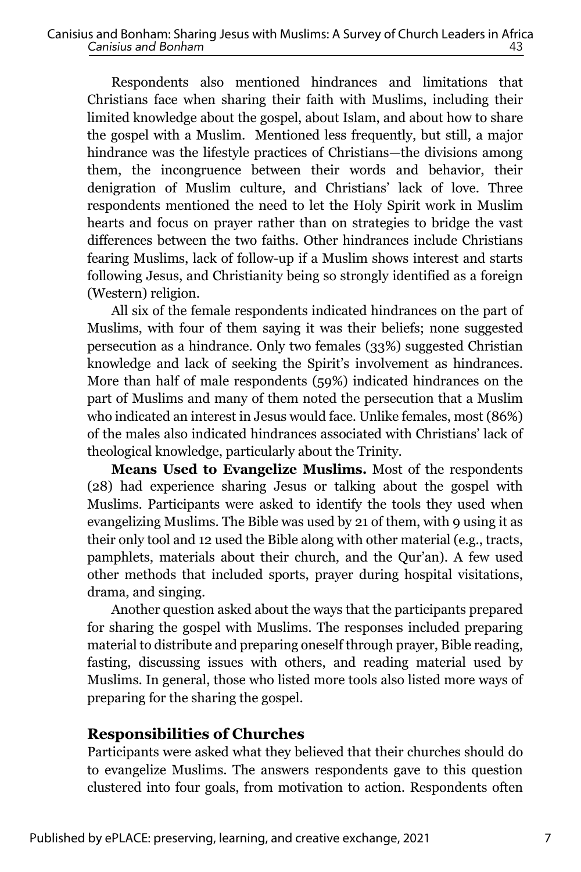Respondents also mentioned hindrances and limitations that Christians face when sharing their faith with Muslims, including their limited knowledge about the gospel, about Islam, and about how to share the gospel with a Muslim. Mentioned less frequently, but still, a major hindrance was the lifestyle practices of Christians—the divisions among them, the incongruence between their words and behavior, their denigration of Muslim culture, and Christians' lack of love. Three respondents mentioned the need to let the Holy Spirit work in Muslim hearts and focus on prayer rather than on strategies to bridge the vast differences between the two faiths. Other hindrances include Christians fearing Muslims, lack of follow-up if a Muslim shows interest and starts following Jesus, and Christianity being so strongly identified as a foreign (Western) religion.

All six of the female respondents indicated hindrances on the part of Muslims, with four of them saying it was their beliefs; none suggested persecution as a hindrance. Only two females (33%) suggested Christian knowledge and lack of seeking the Spirit's involvement as hindrances. More than half of male respondents (59%) indicated hindrances on the part of Muslims and many of them noted the persecution that a Muslim who indicated an interest in Jesus would face. Unlike females, most (86%) of the males also indicated hindrances associated with Christians' lack of theological knowledge, particularly about the Trinity.

**Means Used to Evangelize Muslims.** Most of the respondents (28) had experience sharing Jesus or talking about the gospel with Muslims. Participants were asked to identify the tools they used when evangelizing Muslims. The Bible was used by 21 of them, with 9 using it as their only tool and 12 used the Bible along with other material (e.g., tracts, pamphlets, materials about their church, and the Qur'an). A few used other methods that included sports, prayer during hospital visitations, drama, and singing.

Another question asked about the ways that the participants prepared for sharing the gospel with Muslims. The responses included preparing material to distribute and preparing oneself through prayer, Bible reading, fasting, discussing issues with others, and reading material used by Muslims. In general, those who listed more tools also listed more ways of preparing for the sharing the gospel.

#### **Responsibilities of Churches**

Participants were asked what they believed that their churches should do to evangelize Muslims. The answers respondents gave to this question clustered into four goals, from motivation to action. Respondents often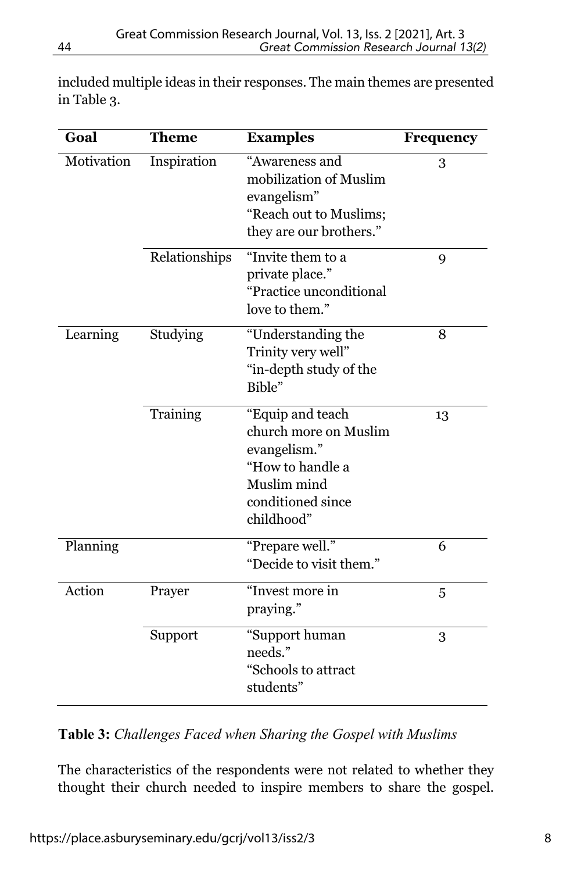| Goal       | <b>Theme</b>  | <b>Examples</b>         | Frequency   |
|------------|---------------|-------------------------|-------------|
| Motivation | Inspiration   | "Awareness and          | 3           |
|            |               | mobilization of Muslim  |             |
|            |               | evangelism"             |             |
|            |               | "Reach out to Muslims;  |             |
|            |               | they are our brothers." |             |
|            | Relationships | "Invite them to a       | $\mathbf Q$ |
|            |               | private place."         |             |
|            |               | "Practice unconditional |             |
|            |               | love to them."          |             |
| Learning   | Studying      | "Understanding the      | 8           |
|            |               | Trinity very well"      |             |
|            |               | "in-depth study of the  |             |
|            |               | Bible"                  |             |
|            | Training      | "Equip and teach        | 13          |
|            |               | church more on Muslim   |             |
|            |               | evangelism."            |             |
|            |               | "How to handle a        |             |
|            |               | Muslim mind             |             |
|            |               | conditioned since       |             |
|            |               | childhood"              |             |
| Planning   |               | "Prepare well."         | 6           |
|            |               | "Decide to visit them." |             |
| Action     | Prayer        | "Invest more in         | 5           |
|            |               | praying."               |             |
|            | Support       | "Support human          | 3           |
|            |               | needs."                 |             |
|            |               | "Schools to attract     |             |
|            |               | students"               |             |

included multiple ideas in their responses. The main themes are presented in Table 3.

#### **Table 3:** *Challenges Faced when Sharing the Gospel with Muslims*

The characteristics of the respondents were not related to whether they thought their church needed to inspire members to share the gospel.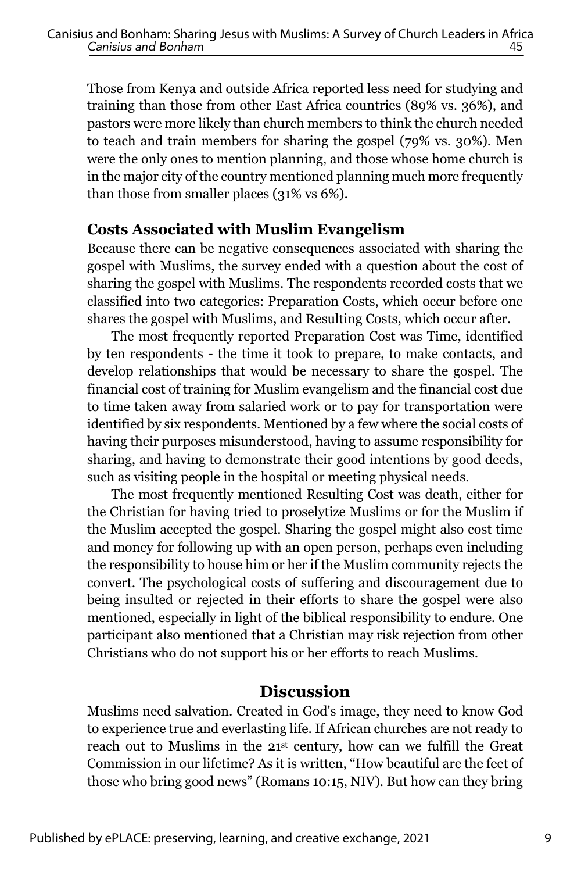Those from Kenya and outside Africa reported less need for studying and training than those from other East Africa countries (89% vs. 36%), and pastors were more likely than church members to think the church needed to teach and train members for sharing the gospel (79% vs. 30%). Men were the only ones to mention planning, and those whose home church is in the major city of the country mentioned planning much more frequently than those from smaller places (31% vs 6%).

#### **Costs Associated with Muslim Evangelism**

Because there can be negative consequences associated with sharing the gospel with Muslims, the survey ended with a question about the cost of sharing the gospel with Muslims. The respondents recorded costs that we classified into two categories: Preparation Costs, which occur before one shares the gospel with Muslims, and Resulting Costs, which occur after.

The most frequently reported Preparation Cost was Time, identified by ten respondents - the time it took to prepare, to make contacts, and develop relationships that would be necessary to share the gospel. The financial cost of training for Muslim evangelism and the financial cost due to time taken away from salaried work or to pay for transportation were identified by six respondents. Mentioned by a few where the social costs of having their purposes misunderstood, having to assume responsibility for sharing, and having to demonstrate their good intentions by good deeds, such as visiting people in the hospital or meeting physical needs.

The most frequently mentioned Resulting Cost was death, either for the Christian for having tried to proselytize Muslims or for the Muslim if the Muslim accepted the gospel. Sharing the gospel might also cost time and money for following up with an open person, perhaps even including the responsibility to house him or her if the Muslim community rejects the convert. The psychological costs of suffering and discouragement due to being insulted or rejected in their efforts to share the gospel were also mentioned, especially in light of the biblical responsibility to endure. One participant also mentioned that a Christian may risk rejection from other Christians who do not support his or her efforts to reach Muslims.

## **Discussion**

Muslims need salvation. Created in God's image, they need to know God to experience true and everlasting life. If African churches are not ready to reach out to Muslims in the 21st century, how can we fulfill the Great Commission in our lifetime? As it is written, "How beautiful are the feet of those who bring good news" (Romans 10:15, NIV). But how can they bring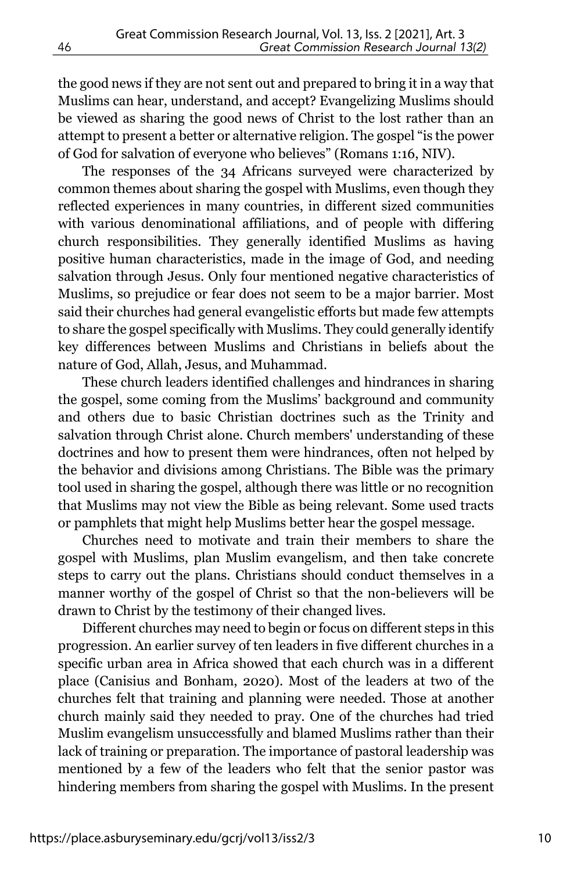the good news if they are not sent out and prepared to bring it in a way that Muslims can hear, understand, and accept? Evangelizing Muslims should be viewed as sharing the good news of Christ to the lost rather than an attempt to present a better or alternative religion. The gospel "is the power of God for salvation of everyone who believes" (Romans 1:16, NIV).

The responses of the 34 Africans surveyed were characterized by common themes about sharing the gospel with Muslims, even though they reflected experiences in many countries, in different sized communities with various denominational affiliations, and of people with differing church responsibilities. They generally identified Muslims as having positive human characteristics, made in the image of God, and needing salvation through Jesus. Only four mentioned negative characteristics of Muslims, so prejudice or fear does not seem to be a major barrier. Most said their churches had general evangelistic efforts but made few attempts to share the gospel specifically with Muslims. They could generally identify key differences between Muslims and Christians in beliefs about the nature of God, Allah, Jesus, and Muhammad.

These church leaders identified challenges and hindrances in sharing the gospel, some coming from the Muslims' background and community and others due to basic Christian doctrines such as the Trinity and salvation through Christ alone. Church members' understanding of these doctrines and how to present them were hindrances, often not helped by the behavior and divisions among Christians. The Bible was the primary tool used in sharing the gospel, although there was little or no recognition that Muslims may not view the Bible as being relevant. Some used tracts or pamphlets that might help Muslims better hear the gospel message.

Churches need to motivate and train their members to share the gospel with Muslims, plan Muslim evangelism, and then take concrete steps to carry out the plans. Christians should conduct themselves in a manner worthy of the gospel of Christ so that the non-believers will be drawn to Christ by the testimony of their changed lives.

Different churches may need to begin or focus on different steps in this progression. An earlier survey of ten leaders in five different churches in a specific urban area in Africa showed that each church was in a different place (Canisius and Bonham, 2020). Most of the leaders at two of the churches felt that training and planning were needed. Those at another church mainly said they needed to pray. One of the churches had tried Muslim evangelism unsuccessfully and blamed Muslims rather than their lack of training or preparation. The importance of pastoral leadership was mentioned by a few of the leaders who felt that the senior pastor was hindering members from sharing the gospel with Muslims. In the present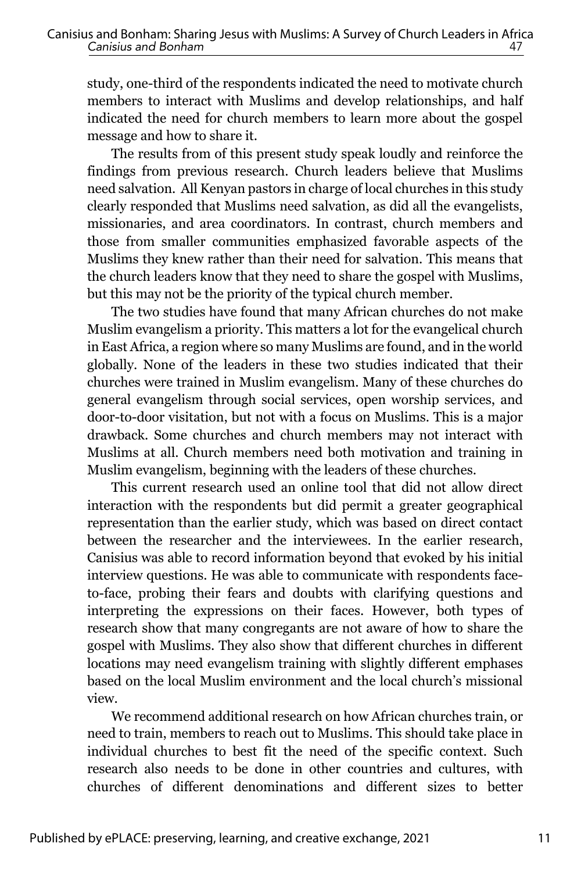study, one-third of the respondents indicated the need to motivate church members to interact with Muslims and develop relationships, and half indicated the need for church members to learn more about the gospel message and how to share it.

The results from of this present study speak loudly and reinforce the findings from previous research. Church leaders believe that Muslims need salvation. All Kenyan pastors in charge of local churches in this study clearly responded that Muslims need salvation, as did all the evangelists, missionaries, and area coordinators. In contrast, church members and those from smaller communities emphasized favorable aspects of the Muslims they knew rather than their need for salvation. This means that the church leaders know that they need to share the gospel with Muslims, but this may not be the priority of the typical church member.

The two studies have found that many African churches do not make Muslim evangelism a priority. This matters a lot for the evangelical church in East Africa, a region where so many Muslims are found, and in the world globally. None of the leaders in these two studies indicated that their churches were trained in Muslim evangelism. Many of these churches do general evangelism through social services, open worship services, and door-to-door visitation, but not with a focus on Muslims. This is a major drawback. Some churches and church members may not interact with Muslims at all. Church members need both motivation and training in Muslim evangelism, beginning with the leaders of these churches.

This current research used an online tool that did not allow direct interaction with the respondents but did permit a greater geographical representation than the earlier study, which was based on direct contact between the researcher and the interviewees. In the earlier research, Canisius was able to record information beyond that evoked by his initial interview questions. He was able to communicate with respondents faceto-face, probing their fears and doubts with clarifying questions and interpreting the expressions on their faces. However, both types of research show that many congregants are not aware of how to share the gospel with Muslims. They also show that different churches in different locations may need evangelism training with slightly different emphases based on the local Muslim environment and the local church's missional view.

We recommend additional research on how African churches train, or need to train, members to reach out to Muslims. This should take place in individual churches to best fit the need of the specific context. Such research also needs to be done in other countries and cultures, with churches of different denominations and different sizes to better